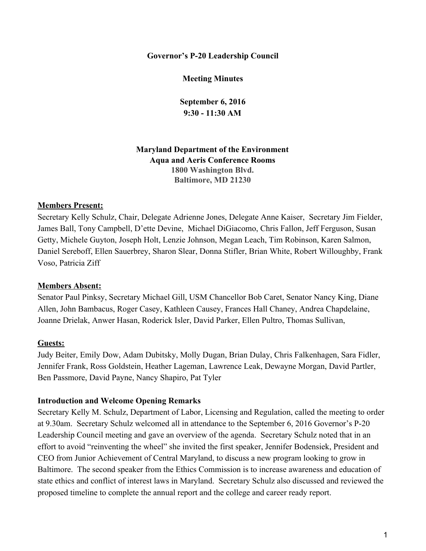**Governor's P-20 Leadership Council**

**Meeting Minutes**

**September 6, 2016 9:30 - 11:30 AM**

**Maryland Department of the Environment Aqua and Aeris Conference Rooms 1800 Washington Blvd. Baltimore, MD 21230**

#### **Members Present:**

Secretary Kelly Schulz, Chair, Delegate Adrienne Jones, Delegate Anne Kaiser, Secretary Jim Fielder, James Ball, Tony Campbell, D'ette Devine, Michael DiGiacomo, Chris Fallon, Jeff Ferguson, Susan Getty, Michele Guyton, Joseph Holt, Lenzie Johnson, Megan Leach, Tim Robinson, Karen Salmon, Daniel Sereboff, Ellen Sauerbrey, Sharon Slear, Donna Stifler, Brian White, Robert Willoughby, Frank Voso, Patricia Ziff

#### **Members Absent:**

Senator Paul Pinksy, Secretary Michael Gill, USM Chancellor Bob Caret, Senator Nancy King, Diane Allen, John Bambacus, Roger Casey, Kathleen Causey, Frances Hall Chaney, Andrea Chapdelaine, Joanne Drielak, Anwer Hasan, Roderick Isler, David Parker, Ellen Pultro, Thomas Sullivan,

#### **Guests:**

Judy Beiter, Emily Dow, Adam Dubitsky, Molly Dugan, Brian Dulay, Chris Falkenhagen, Sara Fidler, Jennifer Frank, Ross Goldstein, Heather Lageman, Lawrence Leak, Dewayne Morgan, David Partler, Ben Passmore, David Payne, Nancy Shapiro, Pat Tyler

#### **Introduction and Welcome Opening Remarks**

Secretary Kelly M. Schulz, Department of Labor, Licensing and Regulation, called the meeting to order at 9.30am. Secretary Schulz welcomed all in attendance to the September 6, 2016 Governor's P-20 Leadership Council meeting and gave an overview of the agenda. Secretary Schulz noted that in an effort to avoid "reinventing the wheel" she invited the first speaker, Jennifer Bodensiek, President and CEO from Junior Achievement of Central Maryland, to discuss a new program looking to grow in Baltimore. The second speaker from the Ethics Commission is to increase awareness and education of state ethics and conflict of interest laws in Maryland. Secretary Schulz also discussed and reviewed the proposed timeline to complete the annual report and the college and career ready report.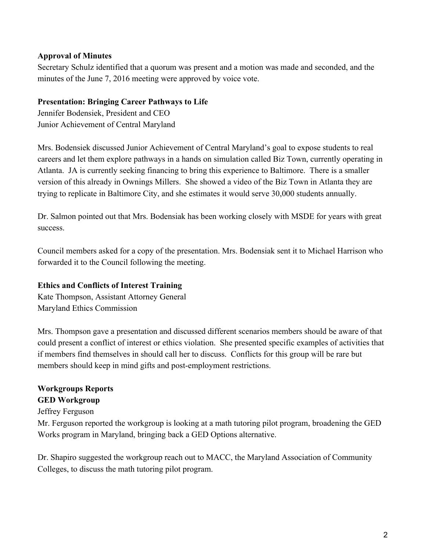# **Approval of Minutes**

Secretary Schulz identified that a quorum was present and a motion was made and seconded, and the minutes of the June 7, 2016 meeting were approved by voice vote.

# **Presentation: Bringing Career Pathways to Life**

Jennifer Bodensiek, President and CEO Junior Achievement of Central Maryland

Mrs. Bodensiek discussed Junior Achievement of Central Maryland's goal to expose students to real careers and let them explore pathways in a hands on simulation called Biz Town, currently operating in Atlanta. JA is currently seeking financing to bring this experience to Baltimore. There is a smaller version of this already in Ownings Millers. She showed a video of the Biz Town in Atlanta they are trying to replicate in Baltimore City, and she estimates it would serve 30,000 students annually.

Dr. Salmon pointed out that Mrs. Bodensiak has been working closely with MSDE for years with great success.

Council members asked for a copy of the presentation. Mrs. Bodensiak sent it to Michael Harrison who forwarded it to the Council following the meeting.

# **Ethics and Conflicts of Interest Training**

Kate Thompson, Assistant Attorney General Maryland Ethics Commission

Mrs. Thompson gave a presentation and discussed different scenarios members should be aware of that could present a conflict of interest or ethics violation. She presented specific examples of activities that if members find themselves in should call her to discuss. Conflicts for this group will be rare but members should keep in mind gifts and post-employment restrictions.

# **Workgroups Reports**

# **GED Workgroup**

#### Jeffrey Ferguson

Mr. Ferguson reported the workgroup is looking at a math tutoring pilot program, broadening the GED Works program in Maryland, bringing back a GED Options alternative.

Dr. Shapiro suggested the workgroup reach out to MACC, the Maryland Association of Community Colleges, to discuss the math tutoring pilot program.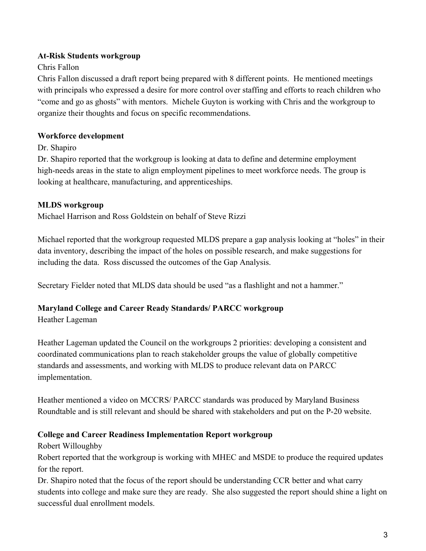# **At-Risk Students workgroup**

# Chris Fallon

Chris Fallon discussed a draft report being prepared with 8 different points. He mentioned meetings with principals who expressed a desire for more control over staffing and efforts to reach children who "come and go as ghosts" with mentors. Michele Guyton is working with Chris and the workgroup to organize their thoughts and focus on specific recommendations.

# **Workforce development**

Dr. Shapiro

Dr. Shapiro reported that the workgroup is looking at data to define and determine employment high-needs areas in the state to align employment pipelines to meet workforce needs. The group is looking at healthcare, manufacturing, and apprenticeships.

# **MLDS workgroup**

Michael Harrison and Ross Goldstein on behalf of Steve Rizzi

Michael reported that the workgroup requested MLDS prepare a gap analysis looking at "holes" in their data inventory, describing the impact of the holes on possible research, and make suggestions for including the data. Ross discussed the outcomes of the Gap Analysis.

Secretary Fielder noted that MLDS data should be used "as a flashlight and not a hammer."

### **Maryland College and Career Ready Standards/ PARCC workgroup**

Heather Lageman

Heather Lageman updated the Council on the workgroups 2 priorities: developing a consistent and coordinated communications plan to reach stakeholder groups the value of globally competitive standards and assessments, and working with MLDS to produce relevant data on PARCC implementation.

Heather mentioned a video on MCCRS/ PARCC standards was produced by Maryland Business Roundtable and is still relevant and should be shared with stakeholders and put on the P-20 website.

# **College and Career Readiness Implementation Report workgroup**

Robert Willoughby

Robert reported that the workgroup is working with MHEC and MSDE to produce the required updates for the report.

Dr. Shapiro noted that the focus of the report should be understanding CCR better and what carry students into college and make sure they are ready. She also suggested the report should shine a light on successful dual enrollment models.